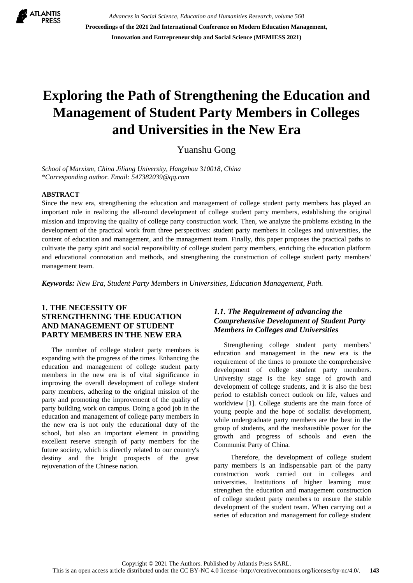

*Advances in Social Science, Education and Humanities Research, volume 568* **Proceedings of the 2021 2nd International Conference on Modern Education Management, Innovation and Entrepreneurship and Social Science (MEMIESS 2021)**

# **Exploring the Path of Strengthening the Education and Management of Student Party Members in Colleges and Universities in the New Era**

Yuanshu Gong

*School of Marxism, China Jiliang University, Hangzhou 310018, China \*Corresponding author. Email: [547382039@qq.com](mailto:547382039@qq.com)*

#### **ABSTRACT**

Since the new era, strengthening the education and management of college student party members has played an important role in realizing the all-round development of college student party members, establishing the original mission and improving the quality of college party construction work. Then, we analyze the problems existing in the development of the practical work from three perspectives: student party members in colleges and universities, the content of education and management, and the management team. Finally, this paper proposes the practical paths to cultivate the party spirit and social responsibility of college student party members, enriching the education platform and educational connotation and methods, and strengthening the construction of college student party members' management team.

*Keywords: New Era, Student Party Members in Universities, Education Management, Path.*

#### **1. THE NECESSITY OF STRENGTHENING THE EDUCATION AND MANAGEMENT OF STUDENT PARTY MEMBERS IN THE NEW ERA**

The number of college student party members is expanding with the progress of the times. Enhancing the education and management of college student party members in the new era is of vital significance in improving the overall development of college student party members, adhering to the original mission of the party and promoting the improvement of the quality of party building work on campus. Doing a good job in the education and management of college party members in the new era is not only the educational duty of the school, but also an important element in providing excellent reserve strength of party members for the future society, which is directly related to our country's destiny and the bright prospects of the great rejuvenation of the Chinese nation.

#### *1.1. The Requirement of advancing the Comprehensive Development of Student Party Members in Colleges and Universities*

Strengthening college student party members' education and management in the new era is the requirement of the times to promote the comprehensive development of college student party members. University stage is the key stage of growth and development of college students, and it is also the best period to establish correct outlook on life, values and worldview [1]. College students are the main force of young people and the hope of socialist development, while undergraduate party members are the best in the group of students, and the inexhaustible power for the growth and progress of schools and even the Communist Party of China.

 Therefore, the development of college student party members is an indispensable part of the party construction work carried out in colleges and universities. Institutions of higher learning must strengthen the education and management construction of college student party members to ensure the stable development of the student team. When carrying out a series of education and management for college student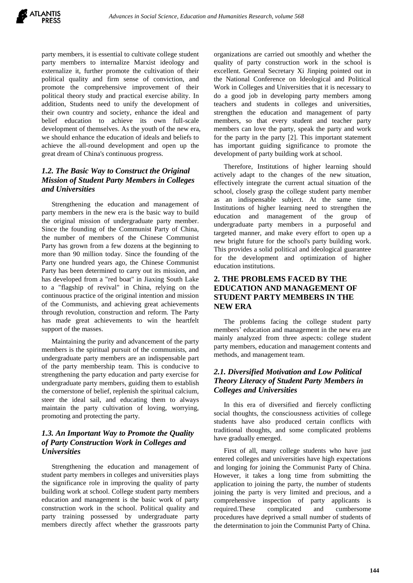party members, it is essential to cultivate college student party members to internalize Marxist ideology and externalize it, further promote the cultivation of their political quality and firm sense of conviction, and promote the comprehensive improvement of their political theory study and practical exercise ability. In addition, Students need to unify the development of their own country and society, enhance the ideal and belief education to achieve its own full-scale development of themselves. As the youth of the new era, we should enhance the education of ideals and beliefs to achieve the all-round development and open up the great dream of China's continuous progress.

## *1.2. The Basic Way to Construct the Original Mission of Student Party Members in Colleges and Universities*

Strengthening the education and management of party members in the new era is the basic way to build the original mission of undergraduate party member. Since the founding of the Communist Party of China, the number of members of the Chinese Communist Party has grown from a few dozens at the beginning to more than 90 million today. Since the founding of the Party one hundred years ago, the Chinese Communist Party has been determined to carry out its mission, and has developed from a "red boat" in Jiaxing South Lake to a "flagship of revival" in China, relying on the continuous practice of the original intention and mission of the Communists, and achieving great achievements through revolution, construction and reform. The Party has made great achievements to win the heartfelt support of the masses.

Maintaining the purity and advancement of the party members is the spiritual pursuit of the communists, and undergraduate party members are an indispensable part of the party membership team. This is conducive to strengthening the party education and party exercise for undergraduate party members, guiding them to establish the cornerstone of belief, replenish the spiritual calcium, steer the ideal sail, and educating them to always maintain the party cultivation of loving, worrying, promoting and protecting the party.

#### *1.3. An Important Way to Promote the Quality of Party Construction Work in Colleges and Universities*

Strengthening the education and management of student party members in colleges and universities plays the significance role in improving the quality of party building work at school. College student party members education and management is the basic work of party construction work in the school. Political quality and party training possessed by undergraduate party members directly affect whether the grassroots party organizations are carried out smoothly and whether the quality of party construction work in the school is excellent. General Secretary Xi Jinping pointed out in the National Conference on Ideological and Political Work in Colleges and Universities that it is necessary to do a good job in developing party members among teachers and students in colleges and universities, strengthen the education and management of party members, so that every student and teacher party members can love the party, speak the party and work for the party in the party [2]. This important statement has important guiding significance to promote the development of party building work at school.

Therefore, Institutions of higher learning should actively adapt to the changes of the new situation, effectively integrate the current actual situation of the school, closely grasp the college student party member as an indispensable subject. At the same time, Institutions of higher learning need to strengthen the education and management of the group of undergraduate party members in a purposeful and targeted manner, and make every effort to open up a new bright future for the school's party building work. This provides a solid political and ideological guarantee for the development and optimization of higher education institutions.

#### **2. THE PROBLEMS FACED BY THE EDUCATION AND MANAGEMENT OF STUDENT PARTY MEMBERS IN THE NEW ERA**

The problems facing the college student party members' education and management in the new era are mainly analyzed from three aspects: college student party members, education and management contents and methods, and management team.

#### *2.1. Diversified Motivation and Low Political Theory Literacy of Student Party Members in Colleges and Universities*

In this era of diversified and fiercely conflicting social thoughts, the consciousness activities of college students have also produced certain conflicts with traditional thoughts, and some complicated problems have gradually emerged.

First of all, many college students who have just entered colleges and universities have high expectations and longing for joining the Communist Party of China. However, it takes a long time from submitting the application to joining the party, the number of students joining the party is very limited and precious, and a comprehensive inspection of party applicants is required.These complicated and cumbersome procedures have deprived a small number of students of the determination to join the Communist Party of China.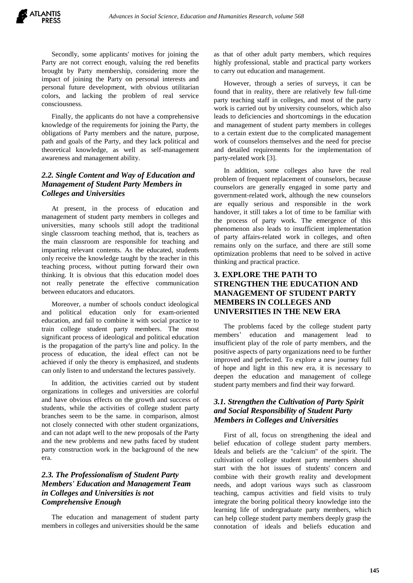Secondly, some applicants' motives for joining the Party are not correct enough, valuing the red benefits brought by Party membership, considering more the impact of joining the Party on personal interests and personal future development, with obvious utilitarian colors, and lacking the problem of real service consciousness.

Finally, the applicants do not have a comprehensive knowledge of the requirements for joining the Party, the obligations of Party members and the nature, purpose, path and goals of the Party, and they lack political and theoretical knowledge, as well as self-management awareness and management ability.

#### *2.2. Single Content and Way of Education and Management of Student Party Members in Colleges and Universities*

At present, in the process of education and management of student party members in colleges and universities, many schools still adopt the traditional single classroom teaching method, that is, teachers as the main classroom are responsible for teaching and imparting relevant contents. As the educated, students only receive the knowledge taught by the teacher in this teaching process, without putting forward their own thinking. It is obvious that this education model does not really penetrate the effective communication between educators and educators.

Moreover, a number of schools conduct ideological and political education only for exam-oriented education, and fail to combine it with social practice to train college student party members. The most significant process of ideological and political education is the propagation of the party's line and policy. In the process of education, the ideal effect can not be achieved if only the theory is emphasized, and students can only listen to and understand the lectures passively.

In addition, the activities carried out by student organizations in colleges and universities are colorful and have obvious effects on the growth and success of students, while the activities of college student party branches seem to be the same. in comparison, almost not closely connected with other student organizations, and can not adapt well to the new proposals of the Party and the new problems and new paths faced by student party construction work in the background of the new era.

#### *2.3. The Professionalism of Student Party Members' Education and Management Team in Colleges and Universities is not Comprehensive Enough*

The education and management of student party members in colleges and universities should be the same as that of other adult party members, which requires highly professional, stable and practical party workers to carry out education and management.

However, through a series of surveys, it can be found that in reality, there are relatively few full-time party teaching staff in colleges, and most of the party work is carried out by university counselors, which also leads to deficiencies and shortcomings in the education and management of student party members in colleges to a certain extent due to the complicated management work of counselors themselves and the need for precise and detailed requirements for the implementation of party-related work [3].

In addition, some colleges also have the real problem of frequent replacement of counselors, because counselors are generally engaged in some party and government-related work, although the new counselors are equally serious and responsible in the work handover, it still takes a lot of time to be familiar with the process of party work. The emergence of this phenomenon also leads to insufficient implementation of party affairs-related work in colleges, and often remains only on the surface, and there are still some optimization problems that need to be solved in active thinking and practical practice.

## **3. EXPLORE THE PATH TO STRENGTHEN THE EDUCATION AND MANAGEMENT OF STUDENT PARTY MEMBERS IN COLLEGES AND UNIVERSITIES IN THE NEW ERA**

The problems faced by the college student party members' education and management lead to insufficient play of the role of party members, and the positive aspects of party organizations need to be further improved and perfected. To explore a new journey full of hope and light in this new era, it is necessary to deepen the education and management of college student party members and find their way forward.

## *3.1. Strengthen the Cultivation of Party Spirit and Social Responsibility of Student Party Members in Colleges and Universities*

First of all, focus on strengthening the ideal and belief education of college student party members. Ideals and beliefs are the "calcium" of the spirit. The cultivation of college student party members should start with the hot issues of students' concern and combine with their growth reality and development needs, and adopt various ways such as classroom teaching, campus activities and field visits to truly integrate the boring political theory knowledge into the learning life of undergraduate party members, which can help college student party members deeply grasp the connotation of ideals and beliefs education and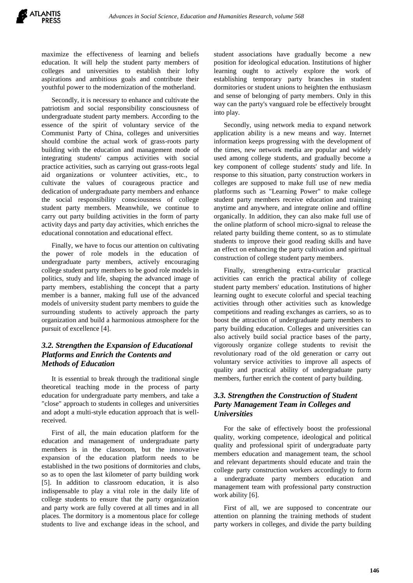maximize the effectiveness of learning and beliefs education. It will help the student party members of colleges and universities to establish their lofty aspirations and ambitious goals and contribute their youthful power to the modernization of the motherland.

Secondly, it is necessary to enhance and cultivate the patriotism and social responsibility consciousness of undergraduate student party members. According to the essence of the spirit of voluntary service of the Communist Party of China, colleges and universities should combine the actual work of grass-roots party building with the education and management mode of integrating students' campus activities with social practice activities, such as carrying out grass-roots legal aid organizations or volunteer activities, etc., to cultivate the values of courageous practice and dedication of undergraduate party members and enhance the social responsibility consciousness of college student party members. Meanwhile, we continue to carry out party building activities in the form of party activity days and party day activities, which enriches the educational connotation and educational effect.

Finally, we have to focus our attention on cultivating the power of role models in the education of undergraduate party members, actively encouraging college student party members to be good role models in politics, study and life, shaping the advanced image of party members, establishing the concept that a party member is a banner, making full use of the advanced models of university student party members to guide the surrounding students to actively approach the party organization and build a harmonious atmosphere for the pursuit of excellence [4].

#### *3.2. Strengthen the Expansion of Educational Platforms and Enrich the Contents and Methods of Education*

It is essential to break through the traditional single theoretical teaching mode in the process of party education for undergraduate party members, and take a "close" approach to students in colleges and universities and adopt a multi-style education approach that is wellreceived.

First of all, the main education platform for the education and management of undergraduate party members is in the classroom, but the innovative expansion of the education platform needs to be established in the two positions of dormitories and clubs, so as to open the last kilometer of party building work [5]. In addition to classroom education, it is also indispensable to play a vital role in the daily life of college students to ensure that the party organization and party work are fully covered at all times and in all places. The dormitory is a momentous place for college students to live and exchange ideas in the school, and

student associations have gradually become a new position for ideological education. Institutions of higher learning ought to actively explore the work of establishing temporary party branches in student dormitories or student unions to heighten the enthusiasm and sense of belonging of party members. Only in this way can the party's vanguard role be effectively brought into play.

Secondly, using network media to expand network application ability is a new means and way. Internet information keeps progressing with the development of the times, new network media are popular and widely used among college students, and gradually become a key component of college students' study and life. In response to this situation, party construction workers in colleges are supposed to make full use of new media platforms such as "Learning Power" to make college student party members receive education and training anytime and anywhere, and integrate online and offline organically. In addition, they can also make full use of the online platform of school micro-signal to release the related party building theme content, so as to stimulate students to improve their good reading skills and have an effect on enhancing the party cultivation and spiritual construction of college student party members.

Finally, strengthening extra-curricular practical activities can enrich the practical ability of college student party members' education. Institutions of higher learning ought to execute colorful and special teaching activities through other activities such as knowledge competitions and reading exchanges as carriers, so as to boost the attraction of undergraduate party members to party building education. Colleges and universities can also actively build social practice bases of the party, vigorously organize college students to revisit the revolutionary road of the old generation or carry out voluntary service activities to improve all aspects of quality and practical ability of undergraduate party members, further enrich the content of party building.

#### *3.3. Strengthen the Construction of Student Party Management Team in Colleges and Universities*

For the sake of effectively boost the professional quality, working competence, ideological and political quality and professional spirit of undergraduate party members education and management team, the school and relevant departments should educate and train the college party construction workers accordingly to form a undergraduate party members education and management team with professional party construction work ability [6].

First of all, we are supposed to concentrate our attention on planning the training methods of student party workers in colleges, and divide the party building